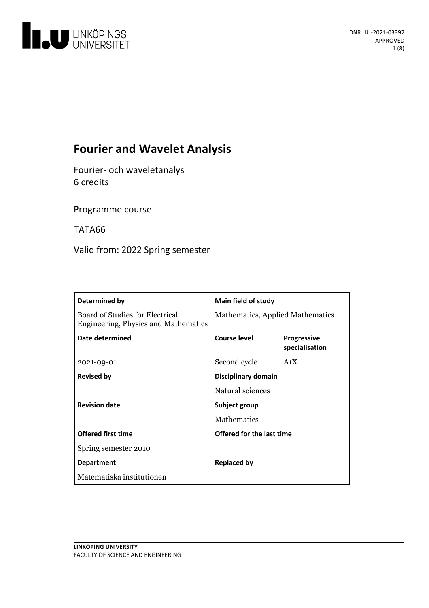

# **Fourier and Wavelet Analysis**

Fourier- och waveletanalys 6 credits

Programme course

TATA66

Valid from: 2022 Spring semester

| Determined by                                                                  | <b>Main field of study</b>       |                                      |
|--------------------------------------------------------------------------------|----------------------------------|--------------------------------------|
| <b>Board of Studies for Electrical</b><br>Engineering, Physics and Mathematics | Mathematics, Applied Mathematics |                                      |
| Date determined                                                                | Course level                     | <b>Progressive</b><br>specialisation |
| 2021-09-01                                                                     | Second cycle                     | A <sub>1</sub> X                     |
| <b>Revised by</b>                                                              | Disciplinary domain              |                                      |
|                                                                                | Natural sciences                 |                                      |
| <b>Revision date</b>                                                           | Subject group                    |                                      |
|                                                                                | <b>Mathematics</b>               |                                      |
| <b>Offered first time</b>                                                      | Offered for the last time        |                                      |
| Spring semester 2010                                                           |                                  |                                      |
| <b>Department</b>                                                              | <b>Replaced by</b>               |                                      |
| Matematiska institutionen                                                      |                                  |                                      |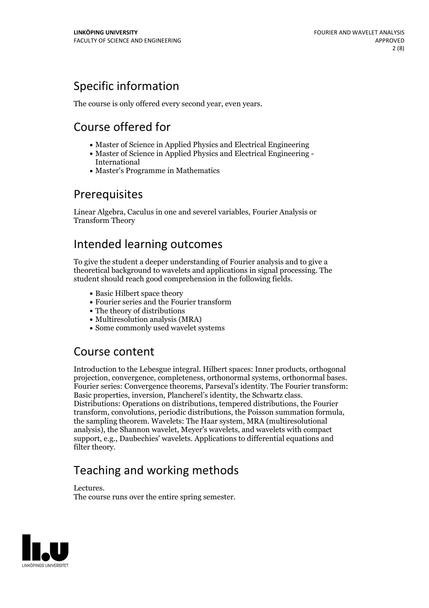# Specific information

The course is only offered every second year, even years.

# Course offered for

- Master of Science in Applied Physics and Electrical Engineering
- Master of Science in Applied Physics and Electrical Engineering International
- Master's Programme in Mathematics

## Prerequisites

Linear Algebra, Caculus in one and severel variables, Fourier Analysis or Transform Theory

## Intended learning outcomes

To give the student a deeper understanding of Fourier analysis and to give a theoretical background to wavelets and applications in signal processing. The student should reach good comprehension in the following fields.

- Basic Hilbert space theory
- Fourier series and the Fourier transform
- The theory of distributions
- Multiresolution analysis (MRA)
- Some commonly used wavelet systems

## Course content

Introduction to the Lebesgue integral. Hilbert spaces: Inner products, orthogonal projection, convergence, completeness, orthonormal systems, orthonormal bases. Fourier series: Convergence theorems, Parseval's identity. The Fourier transform: Basic properties, inversion, Plancherel's identity, the Schwartz class. Distributions: Operations on distributions, tempered distributions, the Fourier transform, convolutions, periodic distributions, the Poisson summation formula, the sampling theorem. Wavelets: The Haar system, MRA (multiresolutional analysis), the Shannon wavelet, Meyer's wavelets, and wavelets with compact support, e.g., Daubechies' wavelets. Applications to differential equations and filter theory.

# Teaching and working methods

Lectures. The course runs over the entire spring semester.

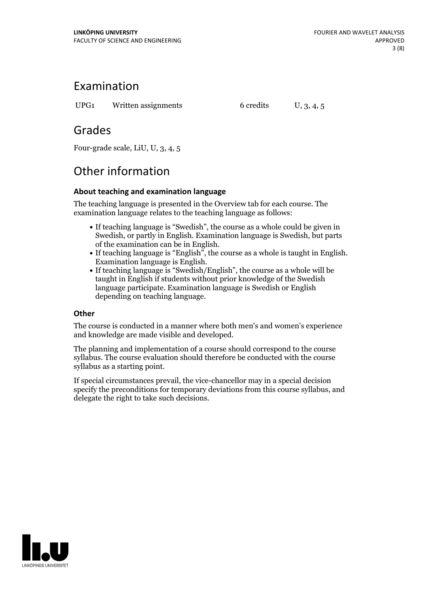## Examination

UPG1 Written assignments 6 credits U, 3, 4, 5

## Grades

Four-grade scale, LiU, U, 3, 4, 5

# Other information

## **About teaching and examination language**

The teaching language is presented in the Overview tab for each course. The examination language relates to the teaching language as follows:

- If teaching language is "Swedish", the course as a whole could be given in Swedish, or partly in English. Examination language is Swedish, but parts
- of the examination can be in English. If teaching language is "English", the course as <sup>a</sup> whole is taught in English. Examination language is English. If teaching language is "Swedish/English", the course as <sup>a</sup> whole will be
- taught in English if students without prior knowledge of the Swedish language participate. Examination language is Swedish or English depending on teaching language.

### **Other**

The course is conducted in a manner where both men's and women's experience and knowledge are made visible and developed.

The planning and implementation of a course should correspond to the course syllabus. The course evaluation should therefore be conducted with the course syllabus as a starting point.

If special circumstances prevail, the vice-chancellor may in a special decision specify the preconditions for temporary deviations from this course syllabus, and delegate the right to take such decisions.

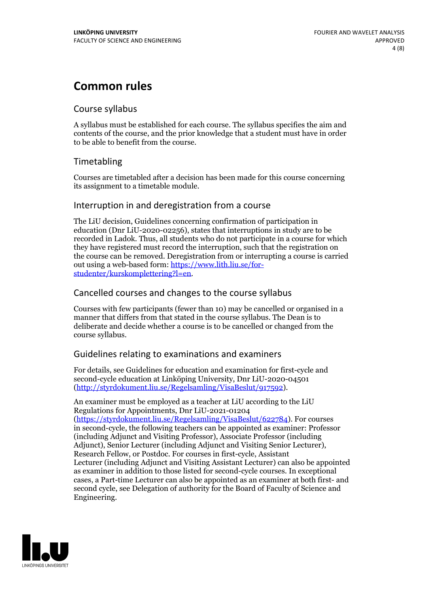## **Common rules**

### Course syllabus

A syllabus must be established for each course. The syllabus specifies the aim and contents of the course, and the prior knowledge that a student must have in order to be able to benefit from the course.

## Timetabling

Courses are timetabled after a decision has been made for this course concerning its assignment to a timetable module.

### Interruption in and deregistration from a course

The LiU decision, Guidelines concerning confirmation of participation in education (Dnr LiU-2020-02256), states that interruptions in study are to be recorded in Ladok. Thus, all students who do not participate in a course for which they have registered must record the interruption, such that the registration on the course can be removed. Deregistration from or interrupting a course is carried out using <sup>a</sup> web-based form: https://www.lith.liu.se/for- [studenter/kurskomplettering?l=en.](https://www.lith.liu.se/for-studenter/kurskomplettering?l=en)

## Cancelled courses and changes to the course syllabus

Courses with few participants (fewer than 10) may be cancelled or organised in a manner that differs from that stated in the course syllabus. The Dean is to deliberate and decide whether a course is to be cancelled or changed from the course syllabus.

## Guidelines relating to examinations and examiners

For details, see Guidelines for education and examination for first-cycle and second-cycle education at Linköping University, Dnr LiU-2020-04501 [\(http://styrdokument.liu.se/Regelsamling/VisaBeslut/917592\)](http://styrdokument.liu.se/Regelsamling/VisaBeslut/917592).

An examiner must be employed as a teacher at LiU according to the LiU Regulations for Appointments, Dnr LiU-2021-01204 [\(https://styrdokument.liu.se/Regelsamling/VisaBeslut/622784](https://styrdokument.liu.se/Regelsamling/VisaBeslut/622784)). For courses in second-cycle, the following teachers can be appointed as examiner: Professor (including Adjunct and Visiting Professor), Associate Professor (including Adjunct), Senior Lecturer (including Adjunct and Visiting Senior Lecturer), Research Fellow, or Postdoc. For courses in first-cycle, Assistant Lecturer (including Adjunct and Visiting Assistant Lecturer) can also be appointed as examiner in addition to those listed for second-cycle courses. In exceptional cases, a Part-time Lecturer can also be appointed as an examiner at both first- and second cycle, see Delegation of authority for the Board of Faculty of Science and Engineering.

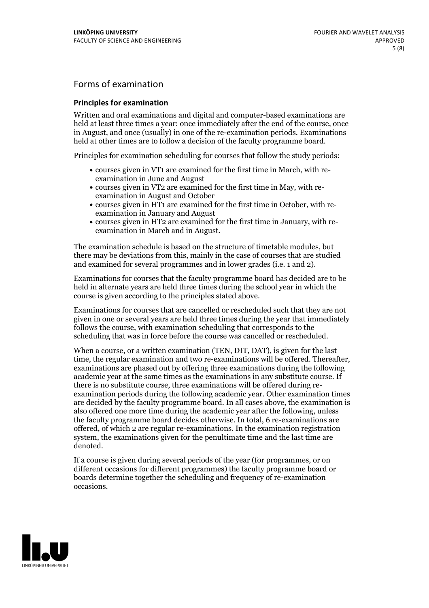## Forms of examination

#### **Principles for examination**

Written and oral examinations and digital and computer-based examinations are held at least three times a year: once immediately after the end of the course, once in August, and once (usually) in one of the re-examination periods. Examinations held at other times are to follow a decision of the faculty programme board.

Principles for examination scheduling for courses that follow the study periods:

- courses given in VT1 are examined for the first time in March, with re-examination in June and August
- courses given in VT2 are examined for the first time in May, with re-examination in August and October
- courses given in HT1 are examined for the first time in October, with re-examination in January and August
- courses given in HT2 are examined for the first time in January, with re-examination in March and in August.

The examination schedule is based on the structure of timetable modules, but there may be deviations from this, mainly in the case of courses that are studied and examined for several programmes and in lower grades (i.e. 1 and 2).

Examinations for courses that the faculty programme board has decided are to be held in alternate years are held three times during the school year in which the course is given according to the principles stated above.

Examinations for courses that are cancelled orrescheduled such that they are not given in one or several years are held three times during the year that immediately follows the course, with examination scheduling that corresponds to the scheduling that was in force before the course was cancelled or rescheduled.

When a course, or a written examination (TEN, DIT, DAT), is given for the last time, the regular examination and two re-examinations will be offered. Thereafter, examinations are phased out by offering three examinations during the following academic year at the same times as the examinations in any substitute course. If there is no substitute course, three examinations will be offered during re- examination periods during the following academic year. Other examination times are decided by the faculty programme board. In all cases above, the examination is also offered one more time during the academic year after the following, unless the faculty programme board decides otherwise. In total, 6 re-examinations are offered, of which 2 are regular re-examinations. In the examination registration system, the examinations given for the penultimate time and the last time are denoted.

If a course is given during several periods of the year (for programmes, or on different occasions for different programmes) the faculty programme board or boards determine together the scheduling and frequency of re-examination occasions.

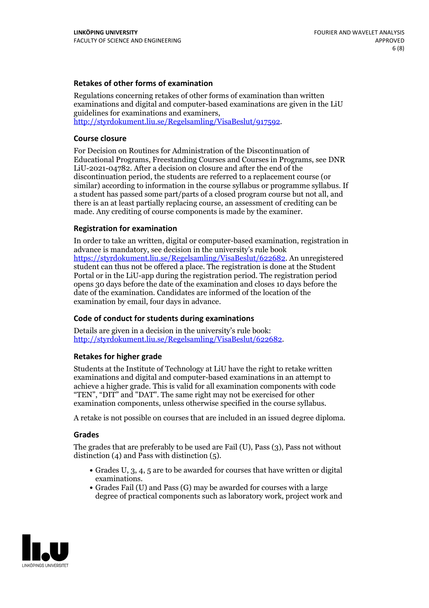#### **Retakes of other forms of examination**

Regulations concerning retakes of other forms of examination than written examinations and digital and computer-based examinations are given in the LiU guidelines for examinations and examiners, [http://styrdokument.liu.se/Regelsamling/VisaBeslut/917592.](http://styrdokument.liu.se/Regelsamling/VisaBeslut/917592)

#### **Course closure**

For Decision on Routines for Administration of the Discontinuation of Educational Programs, Freestanding Courses and Courses in Programs, see DNR LiU-2021-04782. After a decision on closure and after the end of the discontinuation period, the students are referred to a replacement course (or similar) according to information in the course syllabus or programme syllabus. If a student has passed some part/parts of a closed program course but not all, and there is an at least partially replacing course, an assessment of crediting can be made. Any crediting of course components is made by the examiner.

#### **Registration for examination**

In order to take an written, digital or computer-based examination, registration in advance is mandatory, see decision in the university's rule book [https://styrdokument.liu.se/Regelsamling/VisaBeslut/622682.](https://styrdokument.liu.se/Regelsamling/VisaBeslut/622682) An unregistered student can thus not be offered a place. The registration is done at the Student Portal or in the LiU-app during the registration period. The registration period opens 30 days before the date of the examination and closes 10 days before the date of the examination. Candidates are informed of the location of the examination by email, four days in advance.

#### **Code of conduct for students during examinations**

Details are given in a decision in the university's rule book: <http://styrdokument.liu.se/Regelsamling/VisaBeslut/622682>.

#### **Retakes for higher grade**

Students at the Institute of Technology at LiU have the right to retake written examinations and digital and computer-based examinations in an attempt to achieve a higher grade. This is valid for all examination components with code "TEN", "DIT" and "DAT". The same right may not be exercised for other examination components, unless otherwise specified in the course syllabus.

A retake is not possible on courses that are included in an issued degree diploma.

#### **Grades**

The grades that are preferably to be used are Fail (U), Pass (3), Pass not without distinction  $(4)$  and Pass with distinction  $(5)$ .

- Grades U, 3, 4, 5 are to be awarded for courses that have written or digital examinations.<br>• Grades Fail (U) and Pass (G) may be awarded for courses with a large
- degree of practical components such as laboratory work, project work and

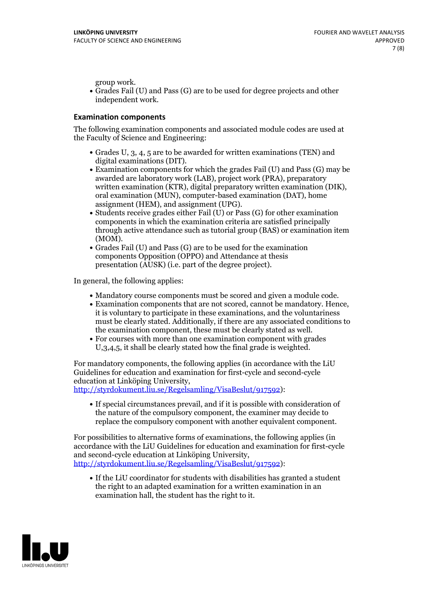group work.<br>• Grades Fail (U) and Pass (G) are to be used for degree projects and other independent work.

#### **Examination components**

The following examination components and associated module codes are used at the Faculty of Science and Engineering:

- Grades U, 3, 4, 5 are to be awarded for written examinations (TEN) and
- digital examinations (DIT).<br>• Examination components for which the grades Fail (U) and Pass (G) may be awarded are laboratory work (LAB), project work (PRA), preparatory written examination (KTR), digital preparatory written examination (DIK), oral examination (MUN), computer-based examination (DAT), home
- assignment (HEM), and assignment (UPG).<br>• Students receive grades either Fail (U) or Pass (G) for other examination components in which the examination criteria are satisfied principally through active attendance such as tutorial group (BAS) or examination item
- (MOM).<br>• Grades Fail (U) and Pass (G) are to be used for the examination components Opposition (OPPO) and Attendance at thesis presentation (AUSK) (i.e. part of the degree project).

In general, the following applies:

- 
- Mandatory course components must be scored and given <sup>a</sup> module code. Examination components that are not scored, cannot be mandatory. Hence, it is voluntary to participate in these examinations, and the voluntariness must be clearly stated. Additionally, if there are any associated conditions to
- the examination component, these must be clearly stated as well.<br>• For courses with more than one examination component with grades U,3,4,5, it shall be clearly stated how the final grade is weighted.

For mandatory components, the following applies (in accordance with the LiU Guidelines for education and examination for first-cycle and second-cycle education at Linköping University,<br>[http://styrdokument.liu.se/Regelsamling/VisaBeslut/917592\)](http://styrdokument.liu.se/Regelsamling/VisaBeslut/917592):

If special circumstances prevail, and if it is possible with consideration of the nature of the compulsory component, the examiner may decide to replace the compulsory component with another equivalent component.

For possibilities to alternative forms of examinations, the following applies (in accordance with the LiU Guidelines for education and examination for first-cycle [http://styrdokument.liu.se/Regelsamling/VisaBeslut/917592\)](http://styrdokument.liu.se/Regelsamling/VisaBeslut/917592):

If the LiU coordinator for students with disabilities has granted a student the right to an adapted examination for a written examination in an examination hall, the student has the right to it.